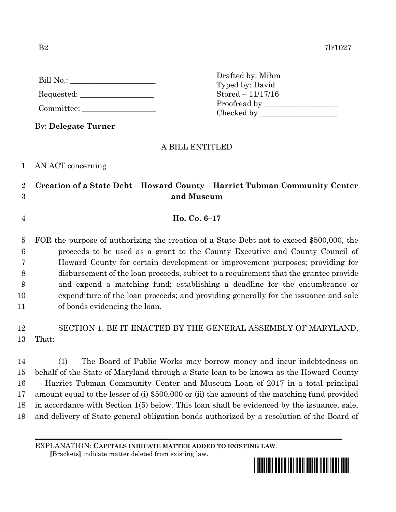| Bill No.: |  |  |
|-----------|--|--|
|           |  |  |

Requested:

Committee:

By: **Delegate Turner**

Drafted by: Mihm Typed by: David Stored – 11/17/16 Proofread by Checked by \_\_\_\_\_\_\_\_\_\_\_\_\_\_\_\_\_\_\_\_

## A BILL ENTITLED

1 AN ACT concerning

## 2 **Creation of a State Debt – Howard County – Harriet Tubman Community Center**  3 **and Museum**

4 **Ho. Co. 6–17**

 FOR the purpose of authorizing the creation of a State Debt not to exceed \$500,000, the proceeds to be used as a grant to the County Executive and County Council of Howard County for certain development or improvement purposes; providing for disbursement of the loan proceeds, subject to a requirement that the grantee provide and expend a matching fund; establishing a deadline for the encumbrance or expenditure of the loan proceeds; and providing generally for the issuance and sale of bonds evidencing the loan.

12 SECTION 1. BE IT ENACTED BY THE GENERAL ASSEMBLY OF MARYLAND, 13 That:

 (1) The Board of Public Works may borrow money and incur indebtedness on behalf of the State of Maryland through a State loan to be known as the Howard County – Harriet Tubman Community Center and Museum Loan of 2017 in a total principal amount equal to the lesser of (i) \$500,000 or (ii) the amount of the matching fund provided in accordance with Section 1(5) below. This loan shall be evidenced by the issuance, sale, and delivery of State general obligation bonds authorized by a resolution of the Board of

EXPLANATION: **CAPITALS INDICATE MATTER ADDED TO EXISTING LAW**.

 **[**Brackets**]** indicate matter deleted from existing law.

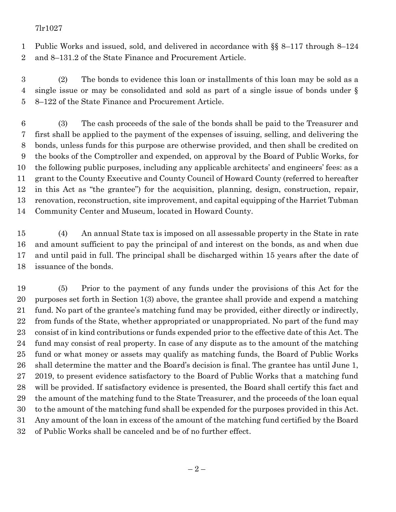## 7lr1027

 Public Works and issued, sold, and delivered in accordance with §§ 8–117 through 8–124 and 8–131.2 of the State Finance and Procurement Article.

 (2) The bonds to evidence this loan or installments of this loan may be sold as a single issue or may be consolidated and sold as part of a single issue of bonds under § 8–122 of the State Finance and Procurement Article.

 (3) The cash proceeds of the sale of the bonds shall be paid to the Treasurer and first shall be applied to the payment of the expenses of issuing, selling, and delivering the bonds, unless funds for this purpose are otherwise provided, and then shall be credited on the books of the Comptroller and expended, on approval by the Board of Public Works, for the following public purposes, including any applicable architects' and engineers' fees: as a grant to the County Executive and County Council of Howard County (referred to hereafter in this Act as "the grantee") for the acquisition, planning, design, construction, repair, renovation, reconstruction, site improvement, and capital equipping of the Harriet Tubman Community Center and Museum, located in Howard County.

 (4) An annual State tax is imposed on all assessable property in the State in rate and amount sufficient to pay the principal of and interest on the bonds, as and when due and until paid in full. The principal shall be discharged within 15 years after the date of issuance of the bonds.

 (5) Prior to the payment of any funds under the provisions of this Act for the purposes set forth in Section 1(3) above, the grantee shall provide and expend a matching fund. No part of the grantee's matching fund may be provided, either directly or indirectly, from funds of the State, whether appropriated or unappropriated. No part of the fund may consist of in kind contributions or funds expended prior to the effective date of this Act. The fund may consist of real property. In case of any dispute as to the amount of the matching fund or what money or assets may qualify as matching funds, the Board of Public Works shall determine the matter and the Board's decision is final. The grantee has until June 1, 2019, to present evidence satisfactory to the Board of Public Works that a matching fund will be provided. If satisfactory evidence is presented, the Board shall certify this fact and the amount of the matching fund to the State Treasurer, and the proceeds of the loan equal to the amount of the matching fund shall be expended for the purposes provided in this Act. Any amount of the loan in excess of the amount of the matching fund certified by the Board of Public Works shall be canceled and be of no further effect.